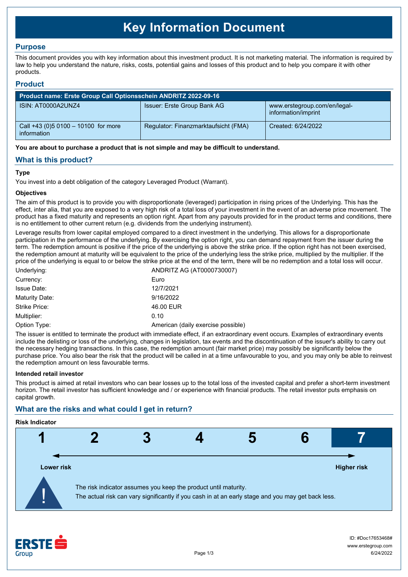# **Key Information Document**

## **Purpose**

This document provides you with key information about this investment product. It is not marketing material. The information is required by law to help you understand the nature, risks, costs, potential gains and losses of this product and to help you compare it with other products.

## **Product**

| Product name: Erste Group Call Optionsschein ANDRITZ 2022-09-16 |                                      |                                                     |  |  |
|-----------------------------------------------------------------|--------------------------------------|-----------------------------------------------------|--|--|
| ISIN: AT0000A2UNZ4                                              | Issuer: Erste Group Bank AG          | www.erstegroup.com/en/legal-<br>information/imprint |  |  |
| Call +43 (0) 5 0100 - 10100 for more<br>information             | Regulator: Finanzmarktaufsicht (FMA) | Created: 6/24/2022                                  |  |  |

**You are about to purchase a product that is not simple and may be difficult to understand.**

## **What is this product?**

## **Type**

You invest into a debt obligation of the category Leveraged Product (Warrant).

#### **Objectives**

The aim of this product is to provide you with disproportionate (leveraged) participation in rising prices of the Underlying. This has the effect, inter alia, that you are exposed to a very high risk of a total loss of your investment in the event of an adverse price movement. The product has a fixed maturity and represents an option right. Apart from any payouts provided for in the product terms and conditions, there is no entitlement to other current return (e.g. dividends from the underlying instrument).

Leverage results from lower capital employed compared to a direct investment in the underlying. This allows for a disproportionate participation in the performance of the underlying. By exercising the option right, you can demand repayment from the issuer during the term. The redemption amount is positive if the price of the underlying is above the strike price. If the option right has not been exercised, the redemption amount at maturity will be equivalent to the price of the underlying less the strike price, multiplied by the multiplier. If the price of the underlying is equal to or below the strike price at the end of the term, there will be no redemption and a total loss will occur.

| Underlying:        | ANDRITZ AG (AT0000730007)          |
|--------------------|------------------------------------|
| Currency:          | Euro                               |
| <b>Issue Date:</b> | 12/7/2021                          |
| Maturity Date:     | 9/16/2022                          |
| Strike Price:      | 46.00 EUR                          |
| Multiplier:        | 0.10                               |
| Option Type:       | American (daily exercise possible) |

The issuer is entitled to terminate the product with immediate effect, if an extraordinary event occurs. Examples of extraordinary events include the delisting or loss of the underlying, changes in legislation, tax events and the discontinuation of the issuer's ability to carry out the necessary hedging transactions. In this case, the redemption amount (fair market price) may possibly be significantly below the purchase price. You also bear the risk that the product will be called in at a time unfavourable to you, and you may only be able to reinvest the redemption amount on less favourable terms.

#### **Intended retail investor**

This product is aimed at retail investors who can bear losses up to the total loss of the invested capital and prefer a short-term investment horizon. The retail investor has sufficient knowledge and / or experience with financial products. The retail investor puts emphasis on capital growth.

# **What are the risks and what could I get in return?**

# **Risk Indicator**



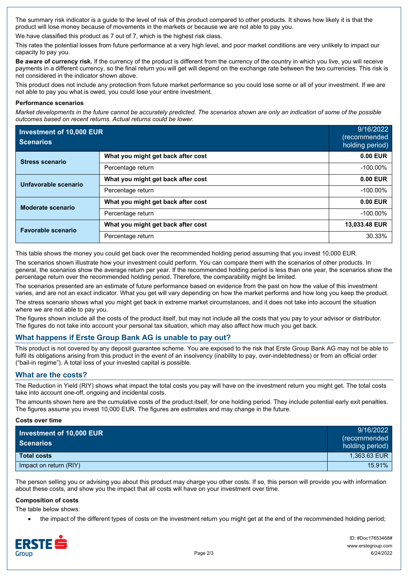The summary risk indicator is a guide to the level of risk of this product compared to other products. It shows how likely it is that the product will lose money because of movements in the markets or because we are not able to pay you.

We have classified this product as 7 out of 7, which is the highest risk class.

This rates the potential losses from future performance at a very high level, and poor market conditions are very unlikely to impact our capacity to pay you.

**Be aware of currency risk.** If the currency of the product is different from the currency of the country in which you live, you will receive payments in a different currency, so the final return you will get will depend on the exchange rate between the two currencies. This risk is not considered in the indicator shown above.

This product does not include any protection from future market performance so you could lose some or all of your investment. If we are not able to pay you what is owed, you could lose your entire investment.

#### **Performance scenarios**

*Market developments in the future cannot be accurately predicted. The scenarios shown are only an indication of some of the possible outcomes based on recent returns. Actual returns could be lower.*

| Investment of 10,000 EUR<br><b>Scenarios</b> |                                    | 9/16/2022<br>(recommended<br>holding period) |
|----------------------------------------------|------------------------------------|----------------------------------------------|
| <b>Stress scenario</b>                       | What you might get back after cost | 0.00 EUR                                     |
|                                              | Percentage return                  | $-100.00\%$                                  |
| Unfavorable scenario                         | What you might get back after cost | $0.00$ EUR                                   |
|                                              | Percentage return                  | $-100.00\%$                                  |
| Moderate scenario                            | What you might get back after cost | $0.00$ EUR                                   |
|                                              | Percentage return                  | $-100.00\%$                                  |
| <b>Favorable scenario</b>                    | What you might get back after cost | 13,033.48 EUR                                |
|                                              | Percentage return                  | 30.33%                                       |

This table shows the money you could get back over the recommended holding period assuming that you invest 10,000 EUR.

The scenarios shown illustrate how your investment could perform. You can compare them with the scenarios of other products. In general, the scenarios show the average return per year. If the recommended holding period is less than one year, the scenarios show the percentage return over the recommended holding period. Therefore, the comparability might be limited.

The scenarios presented are an estimate of future performance based on evidence from the past on how the value of this investment varies, and are not an exact indicator. What you get will vary depending on how the market performs and how long you keep the product.

The stress scenario shows what you might get back in extreme market circumstances, and it does not take into account the situation where we are not able to pay you.

The figures shown include all the costs of the product itself, but may not include all the costs that you pay to your advisor or distributor. The figures do not take into account your personal tax situation, which may also affect how much you get back.

## **What happens if Erste Group Bank AG is unable to pay out?**

This product is not covered by any deposit guarantee scheme. You are exposed to the risk that Erste Group Bank AG may not be able to fulfil its obligations arising from this product in the event of an insolvency (inability to pay, over-indebtedness) or from an official order ("bail-in regime"). A total loss of your invested capital is possible.

## **What are the costs?**

The Reduction in Yield (RIY) shows what impact the total costs you pay will have on the investment return you might get. The total costs take into account one-off, ongoing and incidental costs.

The amounts shown here are the cumulative costs of the product itself, for one holding period. They include potential early exit penalties. The figures assume you invest 10,000 EUR. The figures are estimates and may change in the future.

#### **Costs over time**

| Investment of 10,000 EUR<br><b>Scenarios</b> | 9/16/2022<br>(recommended<br>holding period) |
|----------------------------------------------|----------------------------------------------|
| Total costs                                  | 1.363.63 EUR                                 |
| Impact on return (RIY)                       | 15.91%                                       |

The person selling you or advising you about this product may charge you other costs. If so, this person will provide you with information about these costs, and show you the impact that all costs will have on your investment over time.

#### **Composition of costs**

The table below shows:

the impact of the different types of costs on the investment return you might get at the end of the recommended holding period;